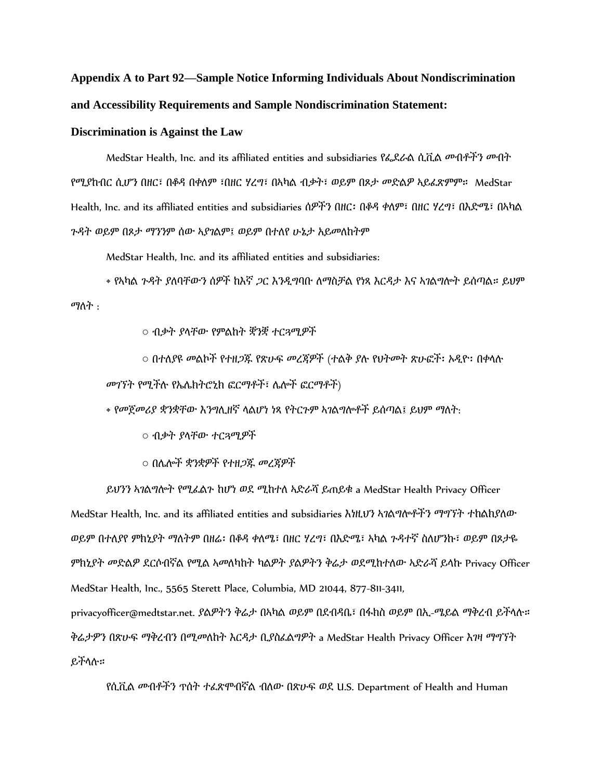## **Appendix A to Part 92—Sample Notice Informing Individuals About Nondiscrimination and Accessibility Requirements and Sample Nondiscrimination Statement:**

## **Discrimination is Against the Law**

MedStar Health, Inc. and its affiliated entities and subsidiaries የፌደራል ሲቪል መብቶችን መብት የሚያከብር ሲሆን በዘር፣ በቆዳ በቀለም ፣በዘር ሃረግ፣ በኣካል ብቃት፣ ወይም በጾታ መድልዎ ኣይፈጽምም። MedStar Health, Inc. and its affiliated entities and subsidiaries ሰዎችን በዘር፡ በቆዳ ቀለም፣ በዘር ሃረግ፣ በእድሜ፣ በኣካል ጉዳት ወይም በጾታ ማንንም ሰው ኣያገልም፤ ወይም በተለየ ሁኔታ አይመለከትም

MedStar Health, Inc. and its affiliated entities and subsidiaries:

• የኣካሌ ጉዳት ያሇባቸውን ሰዎች ከእኛ ጋር እንዲግባቡ ሇማስቻሌ የነጻ እርዳታ እና ኣገሌግልት ይሰጣሌ። ይህም ማለት :

○ ብቃት ያሊቸው የምሌከት ቛንቛ ተርጓሚዎች

○ በተለያዩ መልኮች የተዘ*ጋ*ጁ የጽሁፍ መረጃዎች (ተልቅ ያሉ የህትመት ጽሁፎች፡ ኦዲዮ፡ በቀላሉ

መገኘት የሚችለ የኤላክትሮኒክ ፎርማቶች፣ ላልች ፎርማቶች)

• የመጀመሪያ ቋንቋቸው እንግሊዘኛ ላልሆነ ነጻ የትርጉም ኣገልግሎቶች ይሰጣል፤ ይህም ማለት:

○ ብቃት ያሊቸው ተርጓሚዎች

○ በላልች ቋንቋዎች የተዘጋጁ መረጃዎች

ይህንን ኣገልግሎት የሚፈልጉ ከሆነ ወደ ሚከተለ አድራሻ ይጠይቁ a MedStar Health Privacy Officer MedStar Health, Inc. and its affiliated entities and subsidiaries እነዚህን ኣገልግሎቶችን ማግኘት ተከልክያለው ወይም በተለያየ ምክኒያት ማለትም በዘሬ፡ በቆዳ ቀለሜ፣ በዘር ሃረግ፣ በእድሜ፣ ኣካል ጉዳተኛ ስለሆንኩ፣ ወይም በጾታዬ ምክኒያት መድልዎ ደርሶብኛል የሚል ኣመለካከት ካልዎት ያልዎትን ቅሬታ ወደሚከተለው ኣድራሻ ይላኩ Privacy Officer MedStar Health, Inc., 5565 Sterett Place, Columbia, MD 21044, 877-811-3411,

privacyofficer@medtstar.net. ያሌዎትን ቅሬታ በኣካሌ ወይም በዯብዳቤ፣ በፋክስ ወይም በኢ-ሜይሌ ማቅረብ ይችሊለ። ቅሬታዎን በጽሁፍ ማቅረብን በሚመለከት እርዳታ ቢያስፈልግዎት a MedStar Health Privacy Officer እገዛ ማግኘት ይችሊለ።

የሲቪል መብቶችን ጥሰት ተፈጽሞብኛል ብለው በጽሁፍ ወደ U.S. Department of Health and Human